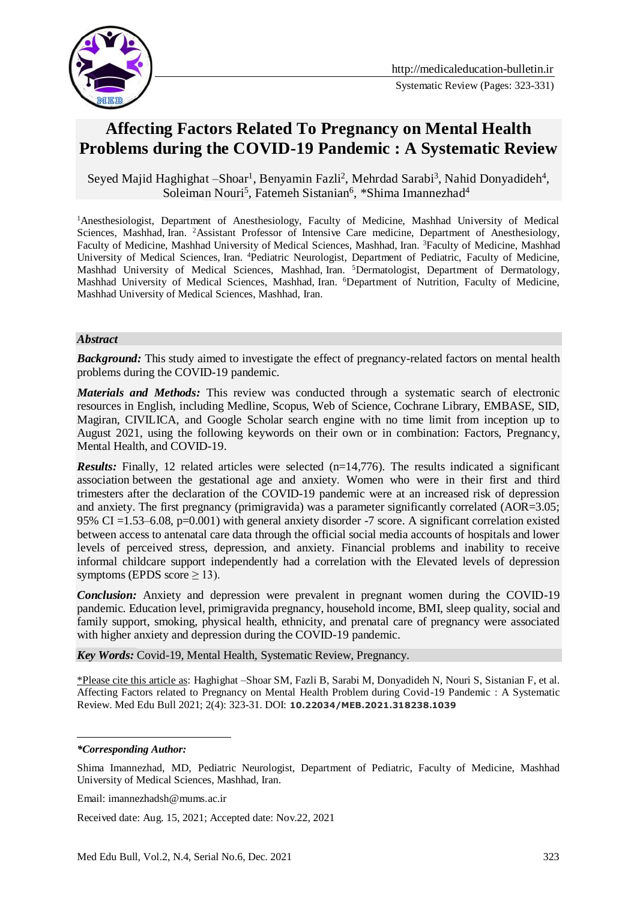

# **Affecting Factors Related To Pregnancy on Mental Health Problems during the COVID-19 Pandemic : A Systematic Review**

Seyed Majid Haghighat - Shoar<sup>1</sup>, Benyamin Fazli<sup>2</sup>, Mehrdad Sarabi<sup>3</sup>, Nahid Donyadideh<sup>4</sup>, Soleiman Nouri<sup>5</sup>, Fatemeh Sistanian<sup>6</sup>, \*Shima Imannezhad<sup>4</sup>

<sup>1</sup>Anesthesiologist, Department of Anesthesiology, Faculty of Medicine, Mashhad University of Medical Sciences, Mashhad, Iran. <sup>2</sup>Assistant Professor of Intensive Care medicine, Department of Anesthesiology, Faculty of Medicine, Mashhad University of Medical Sciences, Mashhad, Iran. <sup>3</sup>Faculty of Medicine, Mashhad University of Medical Sciences, Iran. <sup>4</sup>Pediatric Neurologist, Department of Pediatric, Faculty of Medicine, Mashhad University of Medical Sciences, Mashhad, Iran. <sup>5</sup>Dermatologist, Department of Dermatology, Mashhad University of Medical Sciences, Mashhad, Iran. <sup>6</sup>Department of Nutrition, Faculty of Medicine, Mashhad University of Medical Sciences, Mashhad, Iran.

#### *Abstract*

*Background:* This study aimed to investigate the effect of pregnancy-related factors on mental health problems during the COVID-19 pandemic.

*Materials and Methods:* This review was conducted through a systematic search of electronic resources in English, including Medline, Scopus, Web of Science, Cochrane Library, EMBASE, SID, Magiran, CIVILICA, and Google Scholar search engine with no time limit from inception up to August 2021, using the following keywords on their own or in combination: Factors, Pregnancy, Mental Health, and COVID-19.

*Results:* Finally, 12 related articles were selected (n=14,776). The results indicated a significant association between the gestational age and anxiety. Women who were in their first and third trimesters after the declaration of the COVID-19 pandemic were at an increased risk of depression and anxiety. The first pregnancy (primigravida) was a parameter significantly correlated (AOR=3.05; 95% CI =1.53–6.08, p=0.001) with general anxiety disorder -7 score. A significant correlation existed between access to antenatal care data through the official social media accounts of hospitals and lower levels of perceived stress, depression, and anxiety. Financial problems and inability to receive informal childcare support independently had a correlation with the Elevated levels of depression symptoms (EPDS score  $\geq$  13).

*Conclusion:* Anxiety and depression were prevalent in pregnant women during the COVID-19 pandemic. Education level, primigravida pregnancy, household income, BMI, sleep quality, social and family support, smoking, physical health, ethnicity, and prenatal care of pregnancy were associated with higher anxiety and depression during the COVID-19 pandemic.

*Key Words:* Covid-19, Mental Health, Systematic Review, Pregnancy.

\*Please cite this article as: Haghighat –Shoar SM, Fazli B, Sarabi M, Donyadideh N, Nouri S, Sistanian F, et al. Affecting Factors related to Pregnancy on Mental Health Problem during Covid-19 Pandemic : A Systematic Review. Med Edu Bull 2021; 2(4): 323-31. DOI: **10.22034/MEB.2021.318238.1039**

#### *\*Corresponding Author:*

<u>.</u>

Email: imannezhadsh@mums.ac.ir

Received date: Aug. 15, 2021; Accepted date: Nov.22, 2021

Shima Imannezhad, MD, Pediatric Neurologist, Department of Pediatric, Faculty of Medicine, Mashhad University of Medical Sciences, Mashhad, Iran.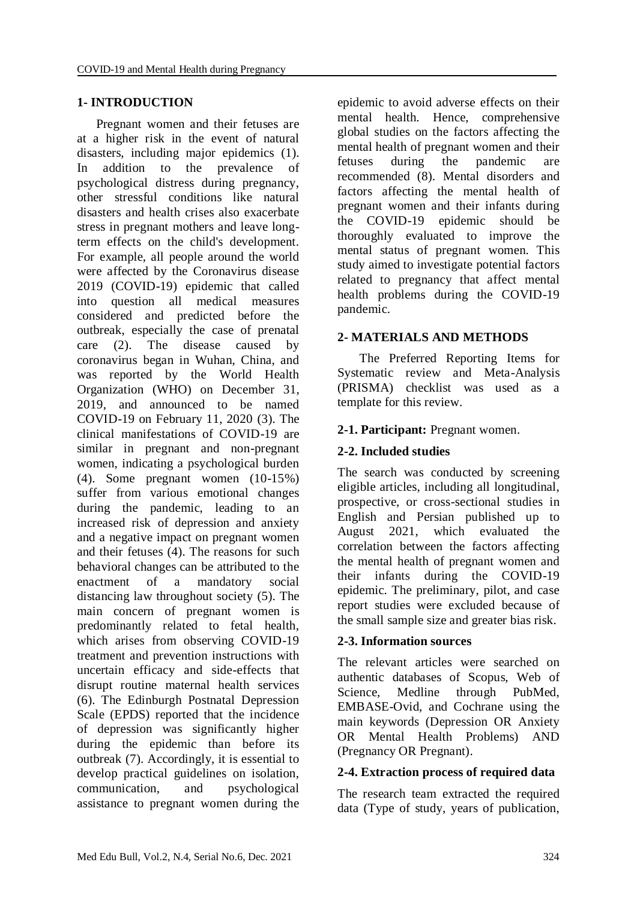#### **1- INTRODUCTION**

 Pregnant women and their fetuses are at a higher risk in the event of natural disasters, including major epidemics (1). In addition to the prevalence of psychological distress during pregnancy, other stressful conditions like natural disasters and health crises also exacerbate stress in pregnant mothers and leave longterm effects on the child's development. For example, all people around the world were affected by the Coronavirus disease 2019 (COVID-19) epidemic that called into question all medical measures considered and predicted before the outbreak, especially the case of prenatal care (2). The disease caused by coronavirus began in Wuhan, China, and was reported by the World Health Organization (WHO) on December 31, 2019, and announced to be named COVID-19 on February 11, 2020 (3). The clinical manifestations of COVID-19 are similar in pregnant and non-pregnant women, indicating a psychological burden (4). Some pregnant women (10-15%) suffer from various emotional changes during the pandemic, leading to an increased risk of depression and anxiety and a negative impact on pregnant women and their fetuses (4). The reasons for such behavioral changes can be attributed to the enactment of a mandatory social distancing law throughout society (5). The main concern of pregnant women is predominantly related to fetal health, which arises from observing COVID-19 treatment and prevention instructions with uncertain efficacy and side-effects that disrupt routine maternal health services (6). The Edinburgh Postnatal Depression Scale (EPDS) reported that the incidence of depression was significantly higher during the epidemic than before its outbreak (7). Accordingly, it is essential to develop practical guidelines on isolation, communication, and psychological assistance to pregnant women during the

epidemic to avoid adverse effects on their mental health. Hence, comprehensive global studies on the factors affecting the mental health of pregnant women and their fetuses during the pandemic are recommended (8). Mental disorders and factors affecting the mental health of pregnant women and their infants during the COVID-19 epidemic should be thoroughly evaluated to improve the mental status of pregnant women. This study aimed to investigate potential factors related to pregnancy that affect mental health problems during the COVID-19 pandemic.

#### **2- MATERIALS AND METHODS**

 The Preferred Reporting Items for Systematic review and Meta-Analysis (PRISMA) checklist was used as a template for this review.

#### **2-1. Participant:** Pregnant women.

### **2-2. Included studies**

The search was conducted by screening eligible articles, including all longitudinal, prospective, or cross-sectional studies in English and Persian published up to August 2021, which evaluated the correlation between the factors affecting the mental health of pregnant women and their infants during the COVID-19 epidemic. The preliminary, pilot, and case report studies were excluded because of the small sample size and greater bias risk.

#### **2-3. Information sources**

The relevant articles were searched on authentic databases of Scopus, Web of Science, Medline through PubMed, EMBASE-Ovid, and Cochrane using the main keywords (Depression OR Anxiety OR Mental Health Problems) AND (Pregnancy OR Pregnant).

#### **2-4. Extraction process of required data**

The research team extracted the required data (Type of study, years of publication,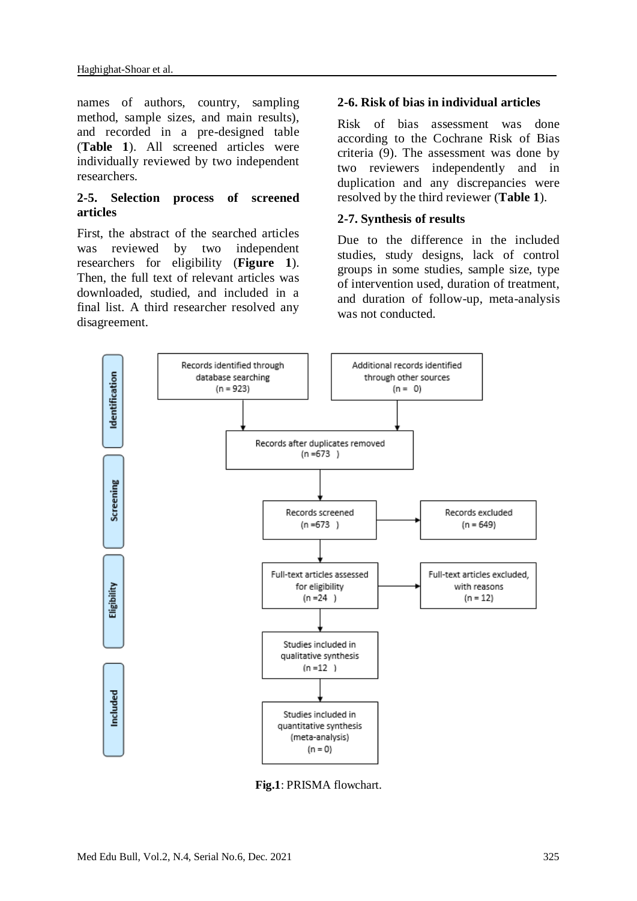names of authors, country, sampling method, sample sizes, and main results), and recorded in a pre-designed table (**Table 1**). All screened articles were individually reviewed by two independent researchers.

#### **2-5. Selection process of screened articles**

First, the abstract of the searched articles was reviewed by two independent researchers for eligibility (**Figure 1**). Then, the full text of relevant articles was downloaded, studied, and included in a final list. A third researcher resolved any disagreement.

#### **2-6. Risk of bias in individual articles**

Risk of bias assessment was done according to the Cochrane Risk of Bias criteria (9). The assessment was done by two reviewers independently and in duplication and any discrepancies were resolved by the third reviewer (**Table 1**).

#### **2-7. Synthesis of results**

Due to the difference in the included studies, study designs, lack of control groups in some studies, sample size, type of intervention used, duration of treatment, and duration of follow-up, meta-analysis was not conducted.



**Fig.1**: PRISMA flowchart.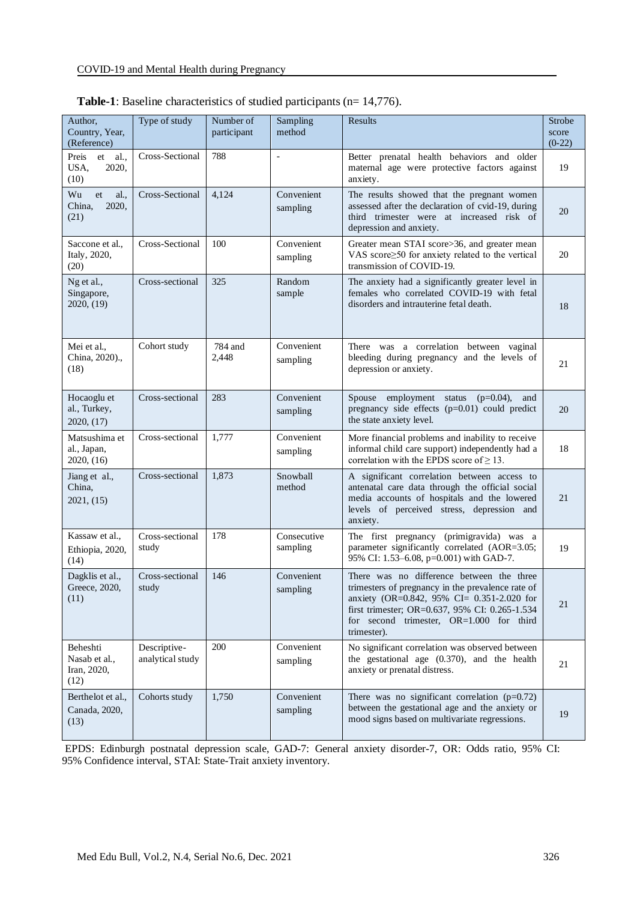| Author,<br>Country, Year,<br>(Reference)         | Type of study                    | Number of<br>participant | Sampling<br>method      | Results                                                                                                                                                                                                                                                   | Strobe<br>score<br>$(0-22)$ |
|--------------------------------------------------|----------------------------------|--------------------------|-------------------------|-----------------------------------------------------------------------------------------------------------------------------------------------------------------------------------------------------------------------------------------------------------|-----------------------------|
| Preis<br>al.,<br>et<br>USA,<br>2020,<br>(10)     | Cross-Sectional                  | 788                      | $\overline{a}$          | Better prenatal health behaviors and older<br>maternal age were protective factors against<br>anxiety.                                                                                                                                                    | 19                          |
| Wu<br>al.<br>et<br>China,<br>2020,<br>(21)       | Cross-Sectional                  | 4,124                    | Convenient<br>sampling  | The results showed that the pregnant women<br>assessed after the declaration of cvid-19, during<br>third trimester were at increased risk of<br>depression and anxiety.                                                                                   | 20                          |
| Saccone et al.,<br>Italy, 2020,<br>(20)          | Cross-Sectional                  | 100                      | Convenient<br>sampling  | Greater mean STAI score>36, and greater mean<br>VAS score  body for anxiety related to the vertical<br>transmission of COVID-19.                                                                                                                          | 20                          |
| Ng et al.,<br>Singapore,<br>2020, (19)           | Cross-sectional                  | 325                      | Random<br>sample        | The anxiety had a significantly greater level in<br>females who correlated COVID-19 with fetal<br>disorders and intrauterine fetal death.                                                                                                                 | 18                          |
| Mei et al.,<br>China, 2020).,<br>(18)            | Cohort study                     | 784 and<br>2,448         | Convenient<br>sampling  | There was a correlation between vaginal<br>bleeding during pregnancy and the levels of<br>depression or anxiety.                                                                                                                                          | 21                          |
| Hocaoglu et<br>al., Turkey,<br>2020, $(17)$      | Cross-sectional                  | 283                      | Convenient<br>sampling  | Spouse employment status<br>$(p=0.04)$ ,<br>and<br>pregnancy side effects (p=0.01) could predict<br>the state anxiety level.                                                                                                                              | 20                          |
| Matsushima et<br>al., Japan,<br>2020, (16)       | Cross-sectional                  | 1,777                    | Convenient<br>sampling  | More financial problems and inability to receive<br>informal child care support) independently had a<br>correlation with the EPDS score of $\geq$ 13.                                                                                                     | 18                          |
| Jiang et al.,<br>China,<br>2021, (15)            | Cross-sectional                  | 1,873                    | Snowball<br>method      | A significant correlation between access to<br>antenatal care data through the official social<br>media accounts of hospitals and the lowered<br>levels of perceived stress, depression and<br>anxiety.                                                   | 21                          |
| Kassaw et al.,<br>Ethiopia, 2020,<br>(14)        | Cross-sectional<br>study         | 178                      | Consecutive<br>sampling | The first pregnancy (primigravida) was a<br>parameter significantly correlated (AOR=3.05;<br>95% CI: 1.53-6.08, p=0.001) with GAD-7.                                                                                                                      | 19                          |
| Dagklis et al.,<br>Greece, 2020,<br>(11)         | Cross-sectional<br>study         | 146                      | Convenient<br>sampling  | There was no difference between the three<br>trimesters of pregnancy in the prevalence rate of<br>anxiety (OR=0.842, 95% CI= 0.351-2.020 for<br>first trimester; OR=0.637, 95% CI: 0.265-1.534<br>for second trimester, OR=1.000 for third<br>trimester). | 21                          |
| Beheshti<br>Nasab et al.,<br>Iran, 2020,<br>(12) | Descriptive-<br>analytical study | 200                      | Convenient<br>sampling  | No significant correlation was observed between<br>the gestational age $(0.370)$ , and the health<br>anxiety or prenatal distress.                                                                                                                        | 21                          |
| Berthelot et al.,<br>Canada, 2020,<br>(13)       | Cohorts study                    | 1,750                    | Convenient<br>sampling  | There was no significant correlation $(p=0.72)$<br>between the gestational age and the anxiety or<br>mood signs based on multivariate regressions.                                                                                                        | 19                          |

| <b>Table-1</b> : Baseline characteristics of studied participants ( $n=14,776$ ). |  |  |  |
|-----------------------------------------------------------------------------------|--|--|--|
|-----------------------------------------------------------------------------------|--|--|--|

EPDS: Edinburgh postnatal depression scale, GAD-7: General anxiety disorder-7, OR: Odds ratio, 95% CI: 95% Confidence interval, STAI: State-Trait anxiety inventory.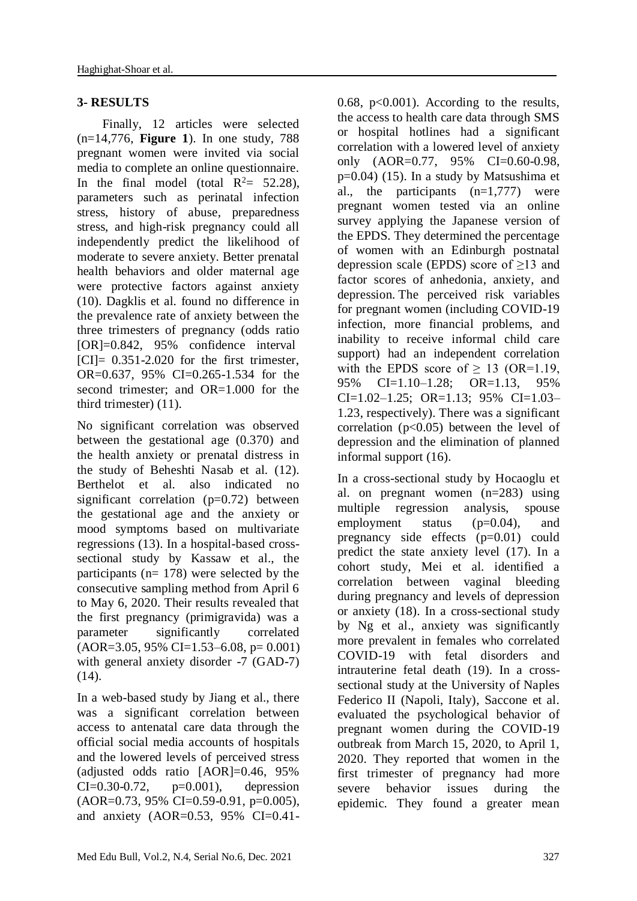#### **3- RESULTS**

 Finally, 12 articles were selected (n=14,776, **Figure 1**). In one study, 788 pregnant women were invited via social media to complete an online questionnaire. In the final model (total  $R^2 = 52.28$ ), parameters such as perinatal infection stress, history of abuse, preparedness stress, and high-risk pregnancy could all independently predict the likelihood of moderate to severe anxiety. Better prenatal health behaviors and older maternal age were protective factors against anxiety (10). Dagklis et al. found no difference in the prevalence rate of anxiety between the three trimesters of pregnancy (odds ratio [OR]=0.842, 95% confidence interval  $|CI| = 0.351 - 2.020$  for the first trimester. OR=0.637, 95% CI=0.265-1.534 for the second trimester; and OR=1.000 for the third trimester) (11).

No significant correlation was observed between the gestational age (0.370) and the health anxiety or prenatal distress in the study of Beheshti Nasab et al. (12). Berthelot et al. also indicated no significant correlation  $(p=0.72)$  between the gestational age and the anxiety or mood symptoms based on multivariate regressions (13). In a hospital-based crosssectional study by Kassaw et al., the participants (n= 178) were selected by the consecutive sampling method from April 6 to May 6, 2020. Their results revealed that the first pregnancy (primigravida) was a parameter significantly correlated  $(AOR=3.05, 95\% \text{ CI}=1.53-6.08, p=0.001)$ with general anxiety disorder -7 (GAD-7)  $(14)$ .

In a web-based study by Jiang et al., there was a significant correlation between access to antenatal care data through the official social media accounts of hospitals and the lowered levels of perceived stress (adjusted odds ratio [AOR]=0.46, 95%  $CI = 0.30 - 0.72$ ,  $p = 0.001$ , depression  $(AOR=0.73, 95\% \text{ CI}=0.59-0.91, p=0.005),$ and anxiety (AOR=0.53, 95% CI=0.41-

0.68,  $p<0.001$ ). According to the results, the access to health care data through SMS or hospital hotlines had a significant correlation with a lowered level of anxiety only (AOR=0.77, 95% CI=0.60-0.98, p=0.04) (15). In a study by Matsushima et al., the participants  $(n=1,777)$  were pregnant women tested via an online survey applying the Japanese version of the EPDS. They determined the percentage of women with an Edinburgh postnatal depression scale (EPDS) score of ≥13 and factor scores of anhedonia, anxiety, and depression. The perceived risk variables for pregnant women (including COVID-19 infection, more financial problems, and inability to receive informal child care support) had an independent correlation with the EPDS score of  $\geq$  13 (OR=1.19, 95% CI=1.10–1.28; OR=1.13, 95%  $CI=1.02-1.25$ ; OR=1.13; 95% CI=1.03-1.23, respectively). There was a significant correlation  $(p<0.05)$  between the level of depression and the elimination of planned informal support (16).

In a cross-sectional study by Hocaoglu et al. on pregnant women (n=283) using multiple regression analysis, spouse employment status (p=0.04), and pregnancy side effects (p=0.01) could predict the state anxiety level (17). In a cohort study, Mei et al. identified a correlation between vaginal bleeding during pregnancy and levels of depression or anxiety (18). In a cross-sectional study by Ng et al., anxiety was significantly more prevalent in females who correlated COVID-19 with fetal disorders and intrauterine fetal death (19). In a crosssectional study at the University of Naples Federico II (Napoli, Italy), Saccone et al. evaluated the psychological behavior of pregnant women during the COVID-19 outbreak from March 15, 2020, to April 1, 2020. They reported that women in the first trimester of pregnancy had more severe behavior issues during the epidemic. They found a greater mean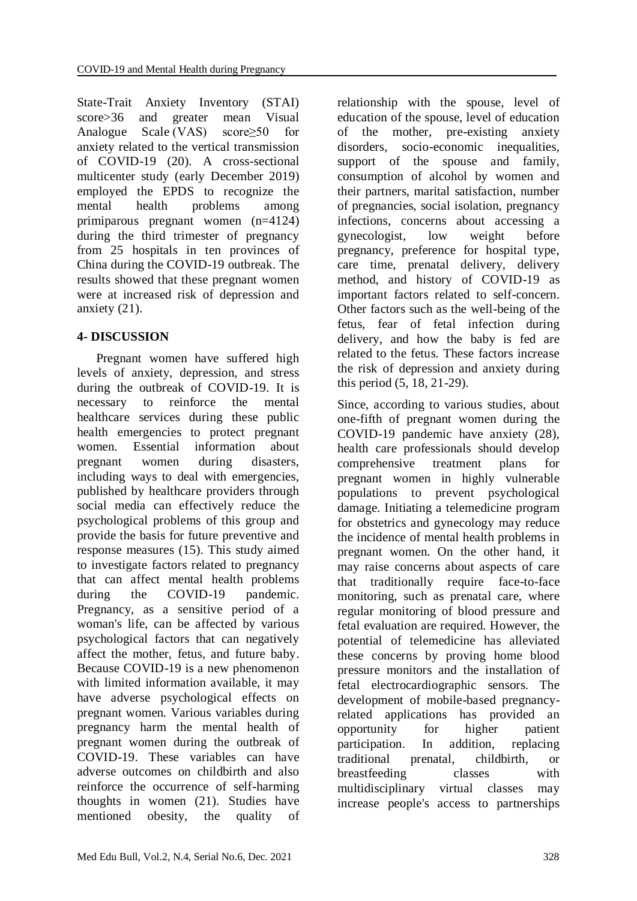State-Trait Anxiety Inventory (STAI) score>36 and greater mean Visual Analogue Scale (VAS) score≥50 for anxiety related to the vertical transmission of COVID-19 (20). A cross-sectional multicenter study (early December 2019) employed the EPDS to recognize the mental health problems among primiparous pregnant women (n=4124) during the third trimester of pregnancy from 25 hospitals in ten provinces of China during the COVID-19 outbreak. The results showed that these pregnant women were at increased risk of depression and anxiety (21).

# **4- DISCUSSION**

 Pregnant women have suffered high levels of anxiety, depression, and stress during the outbreak of COVID-19. It is necessary to reinforce the mental healthcare services during these public health emergencies to protect pregnant women. Essential information about pregnant women during disasters, including ways to deal with emergencies, published by healthcare providers through social media can effectively reduce the psychological problems of this group and provide the basis for future preventive and response measures (15). This study aimed to investigate factors related to pregnancy that can affect mental health problems during the COVID-19 pandemic. Pregnancy, as a sensitive period of a woman's life, can be affected by various psychological factors that can negatively affect the mother, fetus, and future baby. Because COVID-19 is a new phenomenon with limited information available, it may have adverse psychological effects on pregnant women. Various variables during pregnancy harm the mental health of pregnant women during the outbreak of COVID-19. These variables can have adverse outcomes on childbirth and also reinforce the occurrence of self-harming thoughts in women (21). Studies have mentioned obesity, the quality of

relationship with the spouse, level of education of the spouse, level of education of the mother, pre-existing anxiety disorders, socio-economic inequalities, support of the spouse and family, consumption of alcohol by women and their partners, marital satisfaction, number of pregnancies, social isolation, pregnancy infections, concerns about accessing a gynecologist, low weight before pregnancy, preference for hospital type, care time, prenatal delivery, delivery method, and history of COVID-19 as important factors related to self-concern. Other factors such as the well-being of the fetus, fear of fetal infection during delivery, and how the baby is fed are related to the fetus. These factors increase the risk of depression and anxiety during this period (5, 18, 21-29).

Since, according to various studies, about one-fifth of pregnant women during the COVID-19 pandemic have anxiety (28), health care professionals should develop comprehensive treatment plans for pregnant women in highly vulnerable populations to prevent psychological damage. Initiating a telemedicine program for obstetrics and gynecology may reduce the incidence of mental health problems in pregnant women. On the other hand, it may raise concerns about aspects of care that traditionally require face-to-face monitoring, such as prenatal care, where regular monitoring of blood pressure and fetal evaluation are required. However, the potential of telemedicine has alleviated these concerns by proving home blood pressure monitors and the installation of fetal electrocardiographic sensors. The development of mobile-based pregnancyrelated applications has provided an opportunity for higher patient participation. In addition, replacing traditional prenatal, childbirth, or breastfeeding classes with multidisciplinary virtual classes may increase people's access to partnerships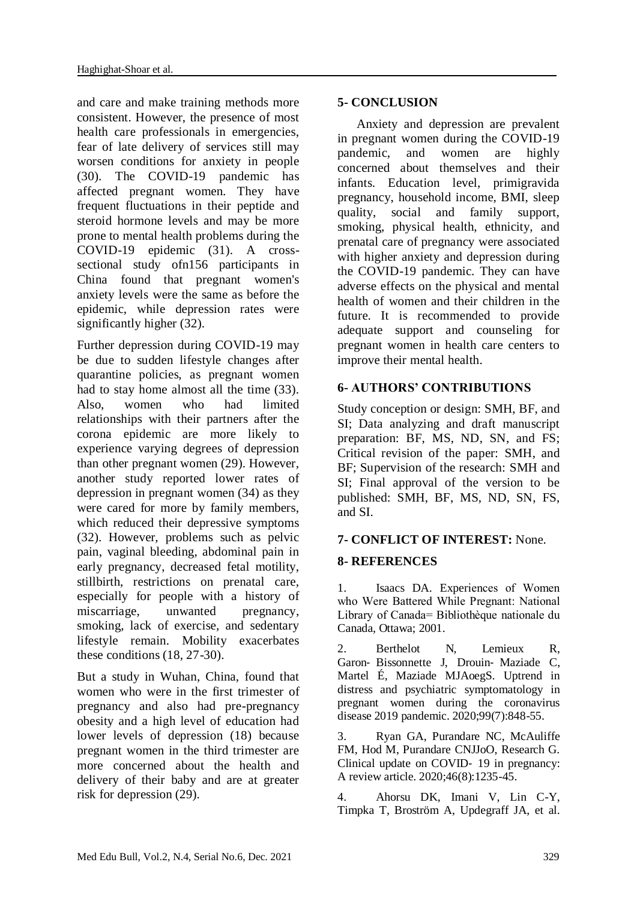and care and make training methods more consistent. However, the presence of most health care professionals in emergencies, fear of late delivery of services still may worsen conditions for anxiety in people (30). The COVID-19 pandemic has affected pregnant women. They have frequent fluctuations in their peptide and steroid hormone levels and may be more prone to mental health problems during the COVID-19 epidemic (31). A crosssectional study ofn156 participants in China found that pregnant women's anxiety levels were the same as before the epidemic, while depression rates were significantly higher (32).

Further depression during COVID-19 may be due to sudden lifestyle changes after quarantine policies, as pregnant women had to stay home almost all the time (33). Also, women who had limited relationships with their partners after the corona epidemic are more likely to experience varying degrees of depression than other pregnant women (29). However, another study reported lower rates of depression in pregnant women (34) as they were cared for more by family members, which reduced their depressive symptoms (32). However, problems such as pelvic pain, vaginal bleeding, abdominal pain in early pregnancy, decreased fetal motility, stillbirth, restrictions on prenatal care, especially for people with a history of miscarriage, unwanted pregnancy, smoking, lack of exercise, and sedentary lifestyle remain. Mobility exacerbates these conditions (18, 27-30).

But a study in Wuhan, China, found that women who were in the first trimester of pregnancy and also had pre-pregnancy obesity and a high level of education had lower levels of depression (18) because pregnant women in the third trimester are more concerned about the health and delivery of their baby and are at greater risk for depression (29).

## **5- CONCLUSION**

 Anxiety and depression are prevalent in pregnant women during the COVID-19 pandemic, and women are highly concerned about themselves and their infants. Education level, primigravida pregnancy, household income, BMI, sleep quality, social and family support, smoking, physical health, ethnicity, and prenatal care of pregnancy were associated with higher anxiety and depression during the COVID-19 pandemic. They can have adverse effects on the physical and mental health of women and their children in the future. It is recommended to provide adequate support and counseling for pregnant women in health care centers to improve their mental health.

# **6- AUTHORS' CONTRIBUTIONS**

Study conception or design: SMH, BF, and SI; Data analyzing and draft manuscript preparation: BF, MS, ND, SN, and FS; Critical revision of the paper: SMH, and BF; Supervision of the research: SMH and SI; Final approval of the version to be published: SMH, BF, MS, ND, SN, FS, and SI.

## **7- CONFLICT OF INTEREST:** None.

## **8- REFERENCES**

1. Isaacs DA. Experiences of Women who Were Battered While Pregnant: National Library of Canada= Bibliothèque nationale du Canada, Ottawa; 2001.

2. Berthelot N, Lemieux R, Garon‐ Bissonnette J, Drouin‐ Maziade C, Martel É, Maziade MJAoegS. Uptrend in distress and psychiatric symptomatology in pregnant women during the coronavirus disease 2019 pandemic. 2020;99(7):848-55.

3. Ryan GA, Purandare NC, McAuliffe FM, Hod M, Purandare CNJJoO, Research G. Clinical update on COVID‐ 19 in pregnancy: A review article. 2020;46(8):1235-45.

4. Ahorsu DK, Imani V, Lin C-Y, Timpka T, Broström A, Updegraff JA, et al.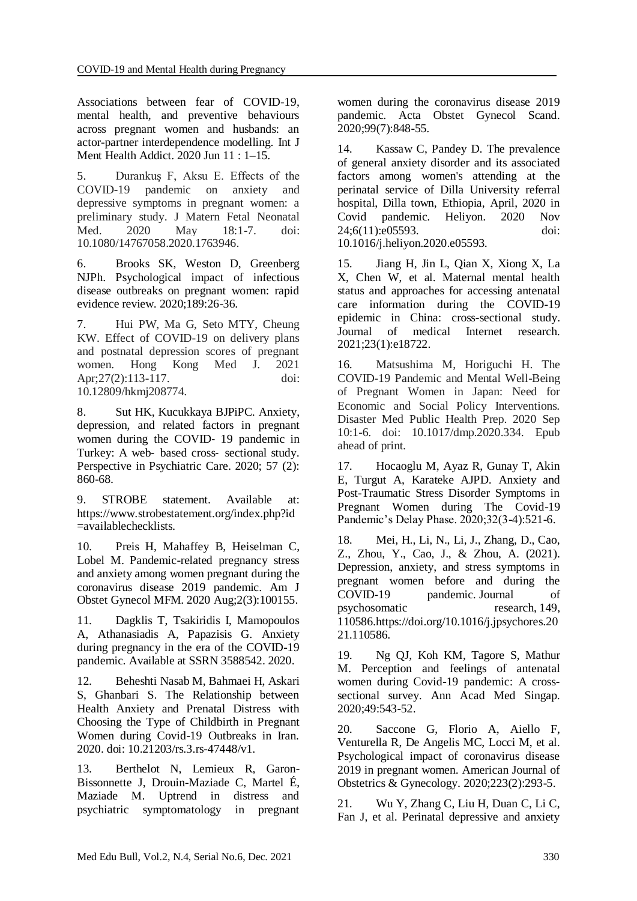Associations between fear of COVID-19, mental health, and preventive behaviours across pregnant women and husbands: an actor-partner interdependence modelling. [Int J](https://www.ncbi.nlm.nih.gov/pmc/articles/PMC7289236/)  [Ment Health Addict.](https://www.ncbi.nlm.nih.gov/pmc/articles/PMC7289236/) 2020 Jun 11 : 1–15.

5. Durankuş F, Aksu E. Effects of the COVID-19 pandemic on anxiety and depressive symptoms in pregnant women: a preliminary study. J Matern Fetal Neonatal<br>Med. 2020 May 18:1-7. doi: Med. 2020 May 18:1-7. doi: 10.1080/14767058.2020.1763946.

6. Brooks SK, Weston D, Greenberg NJPh. Psychological impact of infectious disease outbreaks on pregnant women: rapid evidence review. 2020;189:26-36.

7. Hui PW, Ma G, Seto MTY, Cheung KW. Effect of COVID-19 on delivery plans and postnatal depression scores of pregnant women. Hong Kong Med J. 2021 Apr; 27(2): 113-117. doi: 10.12809/hkmj208774.

8. Sut HK, Kucukkaya BJPiPC. Anxiety, depression, and related factors in pregnant women during the COVID- 19 pandemic in Turkey: A web‐ based cross‐ sectional study. Perspective in Psychiatric Care. 2020; 57 (2): 860-68.

9. STROBE statement. Available at: https://www.strobestatement.org/index.php?id =availablechecklists.

10. Preis H, Mahaffey B, Heiselman C, Lobel M. Pandemic-related pregnancy stress and anxiety among women pregnant during the coronavirus disease 2019 pandemic. Am J Obstet Gynecol MFM. 2020 Aug;2(3):100155.

11. Dagklis T, Tsakiridis I, Mamopoulos A, Athanasiadis A, Papazisis G. Anxiety during pregnancy in the era of the COVID-19 pandemic. Available at SSRN 3588542. 2020.

12. Beheshti Nasab M, Bahmaei H, Askari S, Ghanbari S. The Relationship between Health Anxiety and Prenatal Distress with Choosing the Type of Childbirth in Pregnant Women during Covid-19 Outbreaks in Iran. 2020. doi: [10.21203/rs.3.rs-47448/v1.](http://dx.doi.org/10.21203/rs.3.rs-47448/v1)

13. Berthelot N, Lemieux R, Garon-Bissonnette J, Drouin-Maziade C, Martel É, Maziade M. Uptrend in distress and psychiatric symptomatology in pregnant women during the coronavirus disease 2019 pandemic. Acta Obstet Gynecol Scand. 2020;99(7):848-55.

14. Kassaw C, Pandey D. The prevalence of general anxiety disorder and its associated factors among women's attending at the perinatal service of Dilla University referral hospital, Dilla town, Ethiopia, April, 2020 in Covid pandemic. Heliyon. 2020 Nov 24;6(11):e05593. doi: 10.1016/j.heliyon.2020.e05593.

15. Jiang H, Jin L, Qian X, Xiong X, La X, Chen W, et al. Maternal mental health status and approaches for accessing antenatal care information during the COVID-19 epidemic in China: cross-sectional study. Journal of medical Internet research. 2021;23(1):e18722.

16. Matsushima M, Horiguchi H. The COVID-19 Pandemic and Mental Well-Being of Pregnant Women in Japan: Need for Economic and Social Policy Interventions. Disaster Med Public Health Prep. 2020 Sep 10:1-6. doi: 10.1017/dmp.2020.334. Epub ahead of print.

17. Hocaoglu M, Ayaz R, Gunay T, Akin E, Turgut A, Karateke AJPD. Anxiety and Post-Traumatic Stress Disorder Symptoms in Pregnant Women during The Covid-19 Pandemic's Delay Phase. 2020;32(3-4):521-6.

18. Mei, H., Li, N., Li, J., Zhang, D., Cao, Z., Zhou, Y., Cao, J., & Zhou, A. (2021). Depression, anxiety, and stress symptoms in pregnant women before and during the COVID-19 pandemic. Journal of psychosomatic research, 149, 110586.https://doi.org/10.1016/j.jpsychores.20 21.110586.

19. Ng QJ, Koh KM, Tagore S, Mathur M. Perception and feelings of antenatal women during Covid-19 pandemic: A crosssectional survey. Ann Acad Med Singap. 2020;49:543-52.

20. Saccone G, Florio A, Aiello F, Venturella R, De Angelis MC, Locci M, et al. Psychological impact of coronavirus disease 2019 in pregnant women. American Journal of Obstetrics & Gynecology. 2020;223(2):293-5.

21. Wu Y, Zhang C, Liu H, Duan C, Li C, Fan J, et al. Perinatal depressive and anxiety